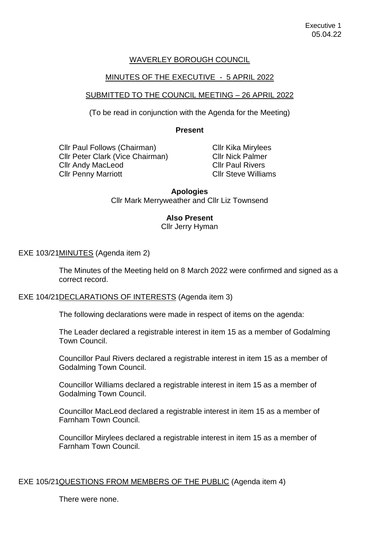# WAVERLEY BOROUGH COUNCIL

# MINUTES OF THE EXECUTIVE - 5 APRIL 2022

## SUBMITTED TO THE COUNCIL MEETING – 26 APRIL 2022

(To be read in conjunction with the Agenda for the Meeting)

### **Present**

Cllr Paul Follows (Chairman) Cllr Peter Clark (Vice Chairman) Cllr Andy MacLeod Cllr Penny Marriott

Cllr Kika Mirylees Cllr Nick Palmer Cllr Paul Rivers Cllr Steve Williams

## **Apologies**  Cllr Mark Merryweather and Cllr Liz Townsend

# **Also Present**

Cllr Jerry Hyman

EXE 103/21MINUTES (Agenda item 2)

The Minutes of the Meeting held on 8 March 2022 were confirmed and signed as a correct record.

### EXE 104/21DECLARATIONS OF INTERESTS (Agenda item 3)

The following declarations were made in respect of items on the agenda:

The Leader declared a registrable interest in item 15 as a member of Godalming Town Council.

Councillor Paul Rivers declared a registrable interest in item 15 as a member of Godalming Town Council.

Councillor Williams declared a registrable interest in item 15 as a member of Godalming Town Council.

Councillor MacLeod declared a registrable interest in item 15 as a member of Farnham Town Council.

Councillor Mirylees declared a registrable interest in item 15 as a member of Farnham Town Council.

## EXE 105/21QUESTIONS FROM MEMBERS OF THE PUBLIC (Agenda item 4)

There were none.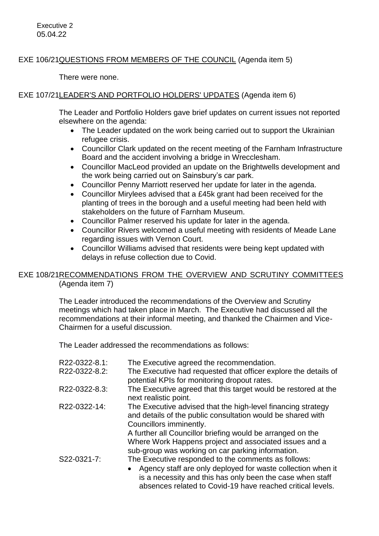# EXE 106/21QUESTIONS FROM MEMBERS OF THE COUNCIL (Agenda item 5)

There were none.

# EXE 107/21LEADER'S AND PORTFOLIO HOLDERS' UPDATES (Agenda item 6)

The Leader and Portfolio Holders gave brief updates on current issues not reported elsewhere on the agenda:

- The Leader updated on the work being carried out to support the Ukrainian refugee crisis.
- Councillor Clark updated on the recent meeting of the Farnham Infrastructure Board and the accident involving a bridge in Wrecclesham.
- Councillor MacLeod provided an update on the Brightwells development and the work being carried out on Sainsbury's car park.
- Councillor Penny Marriott reserved her update for later in the agenda.
- Councillor Mirylees advised that a £45k grant had been received for the planting of trees in the borough and a useful meeting had been held with stakeholders on the future of Farnham Museum.
- Councillor Palmer reserved his update for later in the agenda.
- Councillor Rivers welcomed a useful meeting with residents of Meade Lane regarding issues with Vernon Court.
- Councillor Williams advised that residents were being kept updated with delays in refuse collection due to Covid.

# EXE 108/21RECOMMENDATIONS FROM THE OVERVIEW AND SCRUTINY COMMITTEES (Agenda item 7)

The Leader introduced the recommendations of the Overview and Scrutiny meetings which had taken place in March. The Executive had discussed all the recommendations at their informal meeting, and thanked the Chairmen and Vice-Chairmen for a useful discussion.

The Leader addressed the recommendations as follows:

| R22-0322-8.1: | The Executive agreed the recommendation.                                                                                                                                                                                                      |
|---------------|-----------------------------------------------------------------------------------------------------------------------------------------------------------------------------------------------------------------------------------------------|
| R22-0322-8.2: | The Executive had requested that officer explore the details of<br>potential KPIs for monitoring dropout rates.                                                                                                                               |
| R22-0322-8.3: | The Executive agreed that this target would be restored at the<br>next realistic point.                                                                                                                                                       |
| R22-0322-14:  | The Executive advised that the high-level financing strategy<br>and details of the public consultation would be shared with<br>Councillors imminently.                                                                                        |
|               | A further all Councillor briefing would be arranged on the<br>Where Work Happens project and associated issues and a<br>sub-group was working on car parking information.                                                                     |
| S22-0321-7:   | The Executive responded to the comments as follows:<br>Agency staff are only deployed for waste collection when it<br>is a necessity and this has only been the case when staff<br>absences related to Covid-19 have reached critical levels. |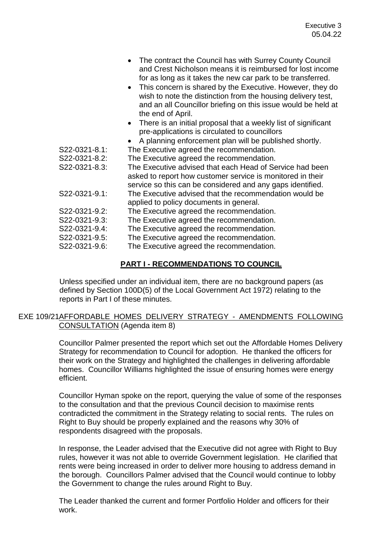|                                | • The contract the Council has with Surrey County Council<br>and Crest Nicholson means it is reimbursed for lost income<br>for as long as it takes the new car park to be transferred.<br>This concern is shared by the Executive. However, they do<br>wish to note the distinction from the housing delivery test,<br>and an all Councillor briefing on this issue would be held at<br>the end of April.<br>There is an initial proposal that a weekly list of significant |
|--------------------------------|-----------------------------------------------------------------------------------------------------------------------------------------------------------------------------------------------------------------------------------------------------------------------------------------------------------------------------------------------------------------------------------------------------------------------------------------------------------------------------|
|                                | pre-applications is circulated to councillors                                                                                                                                                                                                                                                                                                                                                                                                                               |
|                                | A planning enforcement plan will be published shortly.                                                                                                                                                                                                                                                                                                                                                                                                                      |
| S22-0321-8.1:                  | The Executive agreed the recommendation.                                                                                                                                                                                                                                                                                                                                                                                                                                    |
| S22-0321-8.2:                  | The Executive agreed the recommendation.                                                                                                                                                                                                                                                                                                                                                                                                                                    |
| S22-0321-8.3:                  | The Executive advised that each Head of Service had been<br>asked to report how customer service is monitored in their<br>service so this can be considered and any gaps identified.                                                                                                                                                                                                                                                                                        |
| S22-0321-9.1:                  | The Executive advised that the recommendation would be<br>applied to policy documents in general.                                                                                                                                                                                                                                                                                                                                                                           |
| S22-0321-9.2:                  | The Executive agreed the recommendation.                                                                                                                                                                                                                                                                                                                                                                                                                                    |
| S22-0321-9.3:<br>S22-0321-9.4: | The Executive agreed the recommendation.<br>The Executive agreed the recommendation.                                                                                                                                                                                                                                                                                                                                                                                        |
| S22-0321-9.5:                  | The Executive agreed the recommendation.                                                                                                                                                                                                                                                                                                                                                                                                                                    |
| S22-0321-9.6:                  | The Executive agreed the recommendation.                                                                                                                                                                                                                                                                                                                                                                                                                                    |
|                                |                                                                                                                                                                                                                                                                                                                                                                                                                                                                             |

### **PART I - RECOMMENDATIONS TO COUNCIL**

Unless specified under an individual item, there are no background papers (as defined by Section 100D(5) of the Local Government Act 1972) relating to the reports in Part I of these minutes.

## EXE 109/21AFFORDABLE HOMES DELIVERY STRATEGY - AMENDMENTS FOLLOWING CONSULTATION (Agenda item 8)

Councillor Palmer presented the report which set out the Affordable Homes Delivery Strategy for recommendation to Council for adoption. He thanked the officers for their work on the Strategy and highlighted the challenges in delivering affordable homes. Councillor Williams highlighted the issue of ensuring homes were energy efficient.

Councillor Hyman spoke on the report, querying the value of some of the responses to the consultation and that the previous Council decision to maximise rents contradicted the commitment in the Strategy relating to social rents. The rules on Right to Buy should be properly explained and the reasons why 30% of respondents disagreed with the proposals.

In response, the Leader advised that the Executive did not agree with Right to Buy rules, however it was not able to override Government legislation. He clarified that rents were being increased in order to deliver more housing to address demand in the borough. Councillors Palmer advised that the Council would continue to lobby the Government to change the rules around Right to Buy.

The Leader thanked the current and former Portfolio Holder and officers for their work.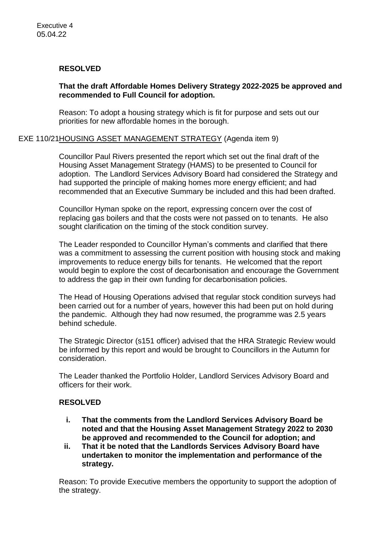## **RESOLVED**

## **That the draft Affordable Homes Delivery Strategy 2022-2025 be approved and recommended to Full Council for adoption.**

Reason: To adopt a housing strategy which is fit for purpose and sets out our priorities for new affordable homes in the borough.

# EXE 110/21HOUSING ASSET MANAGEMENT STRATEGY (Agenda item 9)

Councillor Paul Rivers presented the report which set out the final draft of the Housing Asset Management Strategy (HAMS) to be presented to Council for adoption. The Landlord Services Advisory Board had considered the Strategy and had supported the principle of making homes more energy efficient; and had recommended that an Executive Summary be included and this had been drafted.

Councillor Hyman spoke on the report, expressing concern over the cost of replacing gas boilers and that the costs were not passed on to tenants. He also sought clarification on the timing of the stock condition survey.

The Leader responded to Councillor Hyman's comments and clarified that there was a commitment to assessing the current position with housing stock and making improvements to reduce energy bills for tenants. He welcomed that the report would begin to explore the cost of decarbonisation and encourage the Government to address the gap in their own funding for decarbonisation policies.

The Head of Housing Operations advised that regular stock condition surveys had been carried out for a number of years, however this had been put on hold during the pandemic. Although they had now resumed, the programme was 2.5 years behind schedule.

The Strategic Director (s151 officer) advised that the HRA Strategic Review would be informed by this report and would be brought to Councillors in the Autumn for consideration.

The Leader thanked the Portfolio Holder, Landlord Services Advisory Board and officers for their work.

## **RESOLVED**

- **i. That the comments from the Landlord Services Advisory Board be noted and that the Housing Asset Management Strategy 2022 to 2030 be approved and recommended to the Council for adoption; and**
- **ii. That it be noted that the Landlords Services Advisory Board have undertaken to monitor the implementation and performance of the strategy.**

Reason: To provide Executive members the opportunity to support the adoption of the strategy.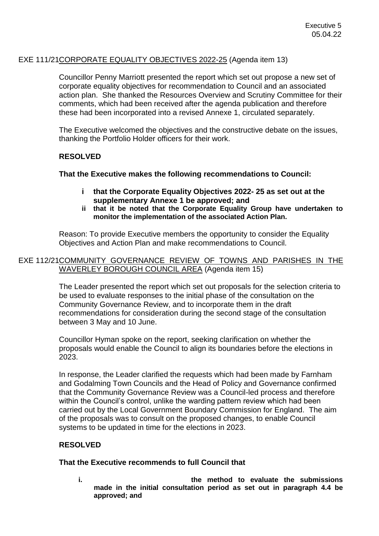## EXE 111/21CORPORATE EQUALITY OBJECTIVES 2022-25 (Agenda item 13)

Councillor Penny Marriott presented the report which set out propose a new set of corporate equality objectives for recommendation to Council and an associated action plan. She thanked the Resources Overview and Scrutiny Committee for their comments, which had been received after the agenda publication and therefore these had been incorporated into a revised Annexe 1, circulated separately.

The Executive welcomed the objectives and the constructive debate on the issues, thanking the Portfolio Holder officers for their work.

# **RESOLVED**

### **That the Executive makes the following recommendations to Council:**

- **i that the Corporate Equality Objectives 2022- 25 as set out at the supplementary Annexe 1 be approved; and**
- **ii that it be noted that the Corporate Equality Group have undertaken to monitor the implementation of the associated Action Plan.**

Reason: To provide Executive members the opportunity to consider the Equality Objectives and Action Plan and make recommendations to Council.

### EXE 112/21COMMUNITY GOVERNANCE REVIEW OF TOWNS AND PARISHES IN THE WAVERLEY BOROUGH COUNCIL AREA (Agenda item 15)

The Leader presented the report which set out proposals for the selection criteria to be used to evaluate responses to the initial phase of the consultation on the Community Governance Review, and to incorporate them in the draft recommendations for consideration during the second stage of the consultation between 3 May and 10 June.

Councillor Hyman spoke on the report, seeking clarification on whether the proposals would enable the Council to align its boundaries before the elections in 2023.

In response, the Leader clarified the requests which had been made by Farnham and Godalming Town Councils and the Head of Policy and Governance confirmed that the Community Governance Review was a Council-led process and therefore within the Council's control, unlike the warding pattern review which had been carried out by the Local Government Boundary Commission for England. The aim of the proposals was to consult on the proposed changes, to enable Council systems to be updated in time for the elections in 2023.

# **RESOLVED**

## **That the Executive recommends to full Council that**

**i. the method to evaluate the submissions made in the initial consultation period as set out in paragraph 4.4 be approved; and**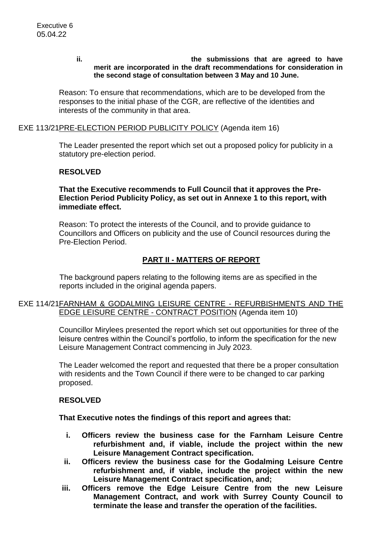#### **ii. the submissions that are agreed to have merit are incorporated in the draft recommendations for consideration in the second stage of consultation between 3 May and 10 June.**

Reason: To ensure that recommendations, which are to be developed from the responses to the initial phase of the CGR, are reflective of the identities and interests of the community in that area.

### EXE 113/21PRE-ELECTION PERIOD PUBLICITY POLICY (Agenda item 16)

The Leader presented the report which set out a proposed policy for publicity in a statutory pre-election period.

## **RESOLVED**

**That the Executive recommends to Full Council that it approves the Pre-Election Period Publicity Policy, as set out in Annexe 1 to this report, with immediate effect.**

Reason: To protect the interests of the Council, and to provide guidance to Councillors and Officers on publicity and the use of Council resources during the Pre-Election Period.

# **PART II - MATTERS OF REPORT**

The background papers relating to the following items are as specified in the reports included in the original agenda papers.

## EXE 114/21FARNHAM & GODALMING LEISURE CENTRE - REFURBISHMENTS AND THE EDGE LEISURE CENTRE - CONTRACT POSITION (Agenda item 10)

Councillor Mirylees presented the report which set out opportunities for three of the leisure centres within the Council's portfolio, to inform the specification for the new Leisure Management Contract commencing in July 2023.

The Leader welcomed the report and requested that there be a proper consultation with residents and the Town Council if there were to be changed to car parking proposed.

### **RESOLVED**

### **That Executive notes the findings of this report and agrees that:**

- **i. Officers review the business case for the Farnham Leisure Centre refurbishment and, if viable, include the project within the new Leisure Management Contract specification.**
- **ii. Officers review the business case for the Godalming Leisure Centre refurbishment and, if viable, include the project within the new Leisure Management Contract specification, and;**
- **iii. Officers remove the Edge Leisure Centre from the new Leisure Management Contract, and work with Surrey County Council to terminate the lease and transfer the operation of the facilities.**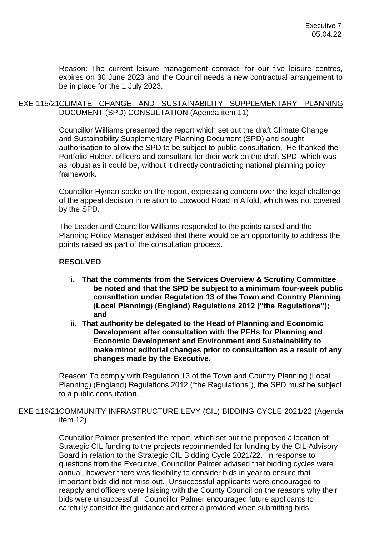Reason: The current leisure management contract, for our five leisure centres, expires on 30 June 2023 and the Council needs a new contractual arrangement to be in place for the 1 July 2023.

### EXE 115/21CLIMATE CHANGE AND SUSTAINABILITY SUPPLEMENTARY PLANNING DOCUMENT (SPD) CONSULTATION (Agenda item 11)

Councillor Williams presented the report which set out the draft Climate Change and Sustainability Supplementary Planning Document (SPD) and sought authorisation to allow the SPD to be subject to public consultation. He thanked the Portfolio Holder, officers and consultant for their work on the draft SPD, which was as robust as it could be, without it directly contradicting national planning policy framework.

Councillor Hyman spoke on the report, expressing concern over the legal challenge of the appeal decision in relation to Loxwood Road in Alfold, which was not covered by the SPD.

The Leader and Councillor Williams responded to the points raised and the Planning Policy Manager advised that there would be an opportunity to address the points raised as part of the consultation process.

# **RESOLVED**

- **i. That the comments from the Services Overview & Scrutiny Committee be noted and that the SPD be subject to a minimum four-week public consultation under Regulation 13 of the Town and Country Planning (Local Planning) (England) Regulations 2012 ("the Regulations"); and**
- **ii. That authority be delegated to the Head of Planning and Economic Development after consultation with the PFHs for Planning and Economic Development and Environment and Sustainability to make minor editorial changes prior to consultation as a result of any changes made by the Executive.**

Reason: To comply with Regulation 13 of the Town and Country Planning (Local Planning) (England) Regulations 2012 ("the Regulations"), the SPD must be subject to a public consultation.

## EXE 116/21COMMUNITY INFRASTRUCTURE LEVY (CIL) BIDDING CYCLE 2021/22 (Agenda item 12)

Councillor Palmer presented the report, which set out the proposed allocation of Strategic CIL funding to the projects recommended for funding by the CIL Advisory Board in relation to the Strategic CIL Bidding Cycle 2021/22. In response to questions from the Executive, Councillor Palmer advised that bidding cycles were annual, however there was flexibility to consider bids in year to ensure that important bids did not miss out. Unsuccessful applicants were encouraged to reapply and officers were liaising with the County Council on the reasons why their bids were unsuccessful. Councillor Palmer encouraged future applicants to carefully consider the guidance and criteria provided when submitting bids.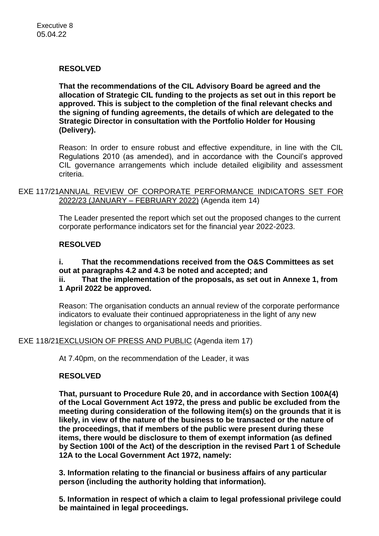# **RESOLVED**

**That the recommendations of the CIL Advisory Board be agreed and the allocation of Strategic CIL funding to the projects as set out in this report be approved. This is subject to the completion of the final relevant checks and the signing of funding agreements, the details of which are delegated to the Strategic Director in consultation with the Portfolio Holder for Housing (Delivery).**

Reason: In order to ensure robust and effective expenditure, in line with the CIL Regulations 2010 (as amended), and in accordance with the Council's approved CIL governance arrangements which include detailed eligibility and assessment criteria.

EXE 117/21ANNUAL REVIEW OF CORPORATE PERFORMANCE INDICATORS SET FOR 2022/23 (JANUARY – FEBRUARY 2022) (Agenda item 14)

> The Leader presented the report which set out the proposed changes to the current corporate performance indicators set for the financial year 2022-2023.

## **RESOLVED**

## **i. That the recommendations received from the O&S Committees as set out at paragraphs 4.2 and 4.3 be noted and accepted; and ii. That the implementation of the proposals, as set out in Annexe 1, from 1 April 2022 be approved.**

Reason: The organisation conducts an annual review of the corporate performance indicators to evaluate their continued appropriateness in the light of any new legislation or changes to organisational needs and priorities.

EXE 118/21EXCLUSION OF PRESS AND PUBLIC (Agenda item 17)

At 7.40pm, on the recommendation of the Leader, it was

## **RESOLVED**

**That, pursuant to Procedure Rule 20, and in accordance with Section 100A(4) of the Local Government Act 1972, the press and public be excluded from the meeting during consideration of the following item(s) on the grounds that it is likely, in view of the nature of the business to be transacted or the nature of the proceedings, that if members of the public were present during these items, there would be disclosure to them of exempt information (as defined by Section 100I of the Act) of the description in the revised Part 1 of Schedule 12A to the Local Government Act 1972, namely:** 

**3. Information relating to the financial or business affairs of any particular person (including the authority holding that information).**

**5. Information in respect of which a claim to legal professional privilege could be maintained in legal proceedings.**